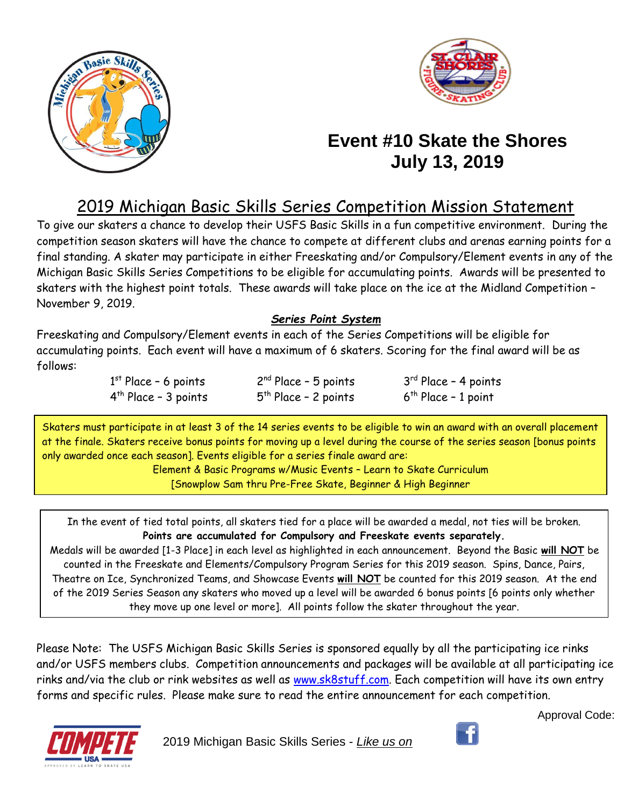



# **Event #10 Skate the Shores July 13, 2019**

# 2019 Michigan Basic Skills Series Competition Mission Statement

To give our skaters a chance to develop their USFS Basic Skills in a fun competitive environment. During the competition season skaters will have the chance to compete at different clubs and arenas earning points for a final standing. A skater may participate in either Freeskating and/or Compulsory/Element events in any of the Michigan Basic Skills Series Competitions to be eligible for accumulating points. Awards will be presented to skaters with the highest point totals. These awards will take place on the ice at the Midland Competition – November 9, 2019.

### *Series Point System*

Freeskating and Compulsory/Element events in each of the Series Competitions will be eligible for accumulating points. Each event will have a maximum of 6 skaters. Scoring for the final award will be as follows:

| $1st$ Place - 6 points | $2nd Place - 5 points$ | $3rd$ Place - 4 points   |
|------------------------|------------------------|--------------------------|
| $4th$ Place - 3 points | $5th$ Place - 2 points | $6^{th}$ Place - 1 point |

Skaters must participate in at least 3 of the 14 series events to be eligible to win an award with an overall placement at the finale. Skaters receive bonus points for moving up a level during the course of the series season [bonus points only awarded once each season]. Events eligible for a series finale award are:

Element & Basic Programs w/Music Events – Learn to Skate Curriculum [Snowplow Sam thru Pre-Free Skate, Beginner & High Beginner

In the event of tied total points, all skaters tied for a place will be awarded a medal, not ties will be broken. **Points are accumulated for Compulsory and Freeskate events separately.**

Medals will be awarded [1-3 Place] in each level as highlighted in each announcement. Beyond the Basic **will NOT** be counted in the Freeskate and Elements/Compulsory Program Series for this 2019 season. Spins, Dance, Pairs, Theatre on Ice, Synchronized Teams, and Showcase Events **will NOT** be counted for this 2019 season. At the end of the 2019 Series Season any skaters who moved up a level will be awarded 6 bonus points [6 points only whether they move up one level or more]. All points follow the skater throughout the year.

Please Note: The USFS Michigan Basic Skills Series is sponsored equally by all the participating ice rinks and/or USFS members clubs. Competition announcements and packages will be available at all participating ice rinks and/via the club or rink websites as well as [www.sk8stuff.com.](http://www.sk8stuff.com/) Each competition will have its own entry forms and specific rules. Please make sure to read the entire announcement for each competition.



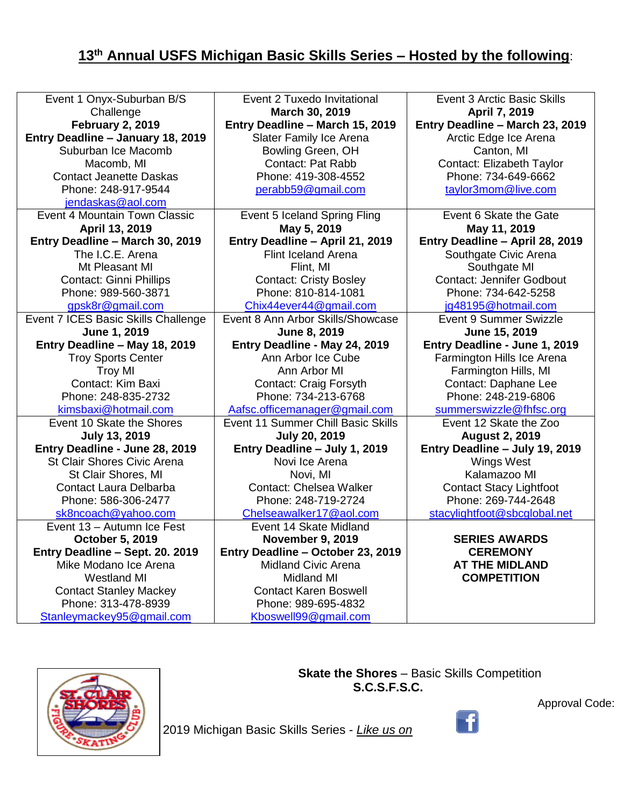# **13 th Annual USFS Michigan Basic Skills Series – Hosted by the following**:

| Event 1 Onyx-Suburban B/S           | Event 2 Tuxedo Invitational        | <b>Event 3 Arctic Basic Skills</b> |
|-------------------------------------|------------------------------------|------------------------------------|
| Challenge                           | March 30, 2019                     | April 7, 2019                      |
| <b>February 2, 2019</b>             | Entry Deadline - March 15, 2019    | Entry Deadline - March 23, 2019    |
| Entry Deadline - January 18, 2019   | Slater Family Ice Arena            | Arctic Edge Ice Arena              |
| Suburban Ice Macomb                 | Bowling Green, OH                  | Canton, MI                         |
| Macomb, MI                          | <b>Contact: Pat Rabb</b>           | Contact: Elizabeth Taylor          |
| <b>Contact Jeanette Daskas</b>      | Phone: 419-308-4552                | Phone: 734-649-6662                |
| Phone: 248-917-9544                 | perabb59@gmail.com                 | taylor3mom@live.com                |
| jendaskas@aol.com                   |                                    |                                    |
| Event 4 Mountain Town Classic       | Event 5 Iceland Spring Fling       | Event 6 Skate the Gate             |
| April 13, 2019                      | May 5, 2019                        | May 11, 2019                       |
| Entry Deadline - March 30, 2019     | Entry Deadline - April 21, 2019    | Entry Deadline - April 28, 2019    |
| The I.C.E. Arena                    | <b>Flint Iceland Arena</b>         | Southgate Civic Arena              |
| Mt Pleasant MI                      | Flint, MI                          | Southgate MI                       |
| <b>Contact: Ginni Phillips</b>      | <b>Contact: Cristy Bosley</b>      | <b>Contact: Jennifer Godbout</b>   |
| Phone: 989-560-3871                 | Phone: 810-814-1081                | Phone: 734-642-5258                |
| gpsk8r@gmail.com                    | Chix44ever44@gmail.com             | jg48195@hotmail.com                |
| Event 7 ICES Basic Skills Challenge | Event 8 Ann Arbor Skills/Showcase  | Event 9 Summer Swizzle             |
| June 1, 2019                        | June 8, 2019                       | June 15, 2019                      |
| Entry Deadline - May 18, 2019       | Entry Deadline - May 24, 2019      | Entry Deadline - June 1, 2019      |
| <b>Troy Sports Center</b>           | Ann Arbor Ice Cube                 | Farmington Hills Ice Arena         |
| <b>Troy MI</b>                      | Ann Arbor MI                       | Farmington Hills, MI               |
| Contact: Kim Baxi                   | Contact: Craig Forsyth             | Contact: Daphane Lee               |
| Phone: 248-835-2732                 | Phone: 734-213-6768                | Phone: 248-219-6806                |
| kimsbaxi@hotmail.com                | Aafsc.officemanager@gmail.com      | summerswizzle@fhfsc.org            |
| Event 10 Skate the Shores           | Event 11 Summer Chill Basic Skills | Event 12 Skate the Zoo             |
| <b>July 13, 2019</b>                | <b>July 20, 2019</b>               | <b>August 2, 2019</b>              |
| Entry Deadline - June 28, 2019      | Entry Deadline - July 1, 2019      | Entry Deadline - July 19, 2019     |
| St Clair Shores Civic Arena         | Novi Ice Arena                     | <b>Wings West</b>                  |
| St Clair Shores, MI                 | Novi, MI                           | Kalamazoo MI                       |
| <b>Contact Laura Delbarba</b>       | <b>Contact: Chelsea Walker</b>     | <b>Contact Stacy Lightfoot</b>     |
| Phone: 586-306-2477                 | Phone: 248-719-2724                | Phone: 269-744-2648                |
| sk8ncoach@yahoo.com                 | Chelseawalker17@aol.com            | stacylightfoot@sbcglobal.net       |
| Event 13 - Autumn Ice Fest          | Event 14 Skate Midland             |                                    |
| October 5, 2019                     | <b>November 9, 2019</b>            | <b>SERIES AWARDS</b>               |
| Entry Deadline - Sept. 20. 2019     | Entry Deadline - October 23, 2019  | <b>CEREMONY</b>                    |
| Mike Modano Ice Arena               | <b>Midland Civic Arena</b>         | <b>AT THE MIDLAND</b>              |
| <b>Westland MI</b>                  | <b>Midland MI</b>                  | <b>COMPETITION</b>                 |
| <b>Contact Stanley Mackey</b>       | <b>Contact Karen Boswell</b>       |                                    |
| Phone: 313-478-8939                 | Phone: 989-695-4832                |                                    |
| Stanleymackey95@gmail.com           | Kboswell99@gmail.com               |                                    |



 **Skate the Shores** – Basic Skills Competition **S.C.S.F.S.C.**

 $\begin{bmatrix} 1 \end{bmatrix}$ 

2019 Michigan Basic Skills Series - *Like us on*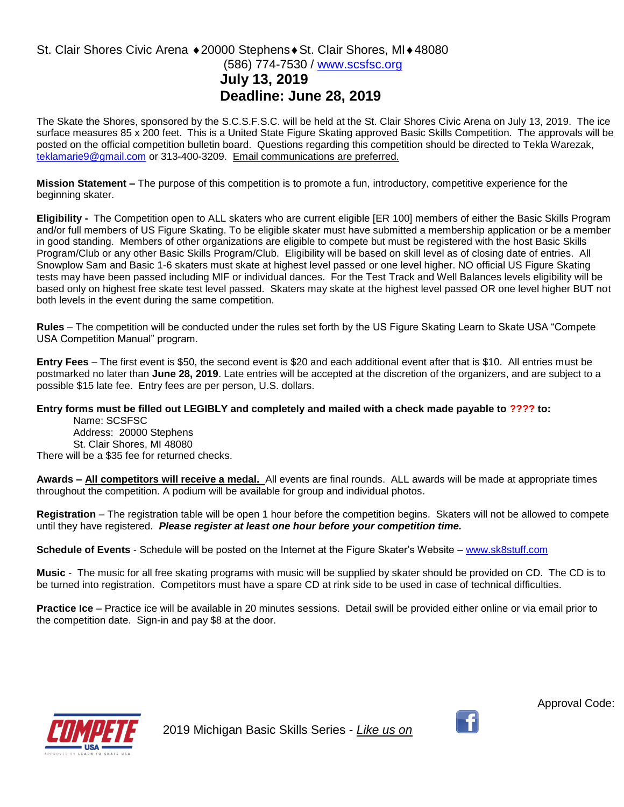### St. Clair Shores Civic Arena ♦ 20000 Stephens ♦ St. Clair Shores, MI ♦ 48080 (586) 774-7530 / [www.scsfsc.org](http://www.scsfsc.org/) **July 13, 2019 Deadline: June 28, 2019**

The Skate the Shores, sponsored by the S.C.S.F.S.C. will be held at the St. Clair Shores Civic Arena on July 13, 2019. The ice surface measures 85 x 200 feet. This is a United State Figure Skating approved Basic Skills Competition. The approvals will be posted on the official competition bulletin board. Questions regarding this competition should be directed to Tekla Warezak, [teklamarie9@gmail.com](mailto:teklamarie9@gmail.com) or 313-400-3209. Email communications are preferred.

**Mission Statement –** The purpose of this competition is to promote a fun, introductory, competitive experience for the beginning skater.

**Eligibility -** The Competition open to ALL skaters who are current eligible [ER 100] members of either the Basic Skills Program and/or full members of US Figure Skating. To be eligible skater must have submitted a membership application or be a member in good standing. Members of other organizations are eligible to compete but must be registered with the host Basic Skills Program/Club or any other Basic Skills Program/Club. Eligibility will be based on skill level as of closing date of entries. All Snowplow Sam and Basic 1-6 skaters must skate at highest level passed or one level higher. NO official US Figure Skating tests may have been passed including MIF or individual dances. For the Test Track and Well Balances levels eligibility will be based only on highest free skate test level passed. Skaters may skate at the highest level passed OR one level higher BUT not both levels in the event during the same competition.

**Rules** – The competition will be conducted under the rules set forth by the US Figure Skating Learn to Skate USA "Compete USA Competition Manual" program.

**Entry Fees** – The first event is \$50, the second event is \$20 and each additional event after that is \$10. All entries must be postmarked no later than **June 28, 2019**. Late entries will be accepted at the discretion of the organizers, and are subject to a possible \$15 late fee. Entry fees are per person, U.S. dollars.

#### **Entry forms must be filled out LEGIBLY and completely and mailed with a check made payable to ???? to:**

Name: SCSFSC Address: 20000 Stephens St. Clair Shores, MI 48080 There will be a \$35 fee for returned checks.

**Awards – All competitors will receive a medal.** All events are final rounds. ALL awards will be made at appropriate times throughout the competition. A podium will be available for group and individual photos.

**Registration** – The registration table will be open 1 hour before the competition begins. Skaters will not be allowed to compete until they have registered. *Please register at least one hour before your competition time.* 

**Schedule of Events** - Schedule will be posted on the Internet at the Figure Skater's Website – [www.sk8stuff.com](http://www.sk8stuff.com/)

**Music** - The music for all free skating programs with music will be supplied by skater should be provided on CD. The CD is to be turned into registration. Competitors must have a spare CD at rink side to be used in case of technical difficulties.

**Practice Ice** – Practice ice will be available in 20 minutes sessions. Detail swill be provided either online or via email prior to the competition date. Sign-in and pay \$8 at the door.



2019 Michigan Basic Skills Series - *Like us on*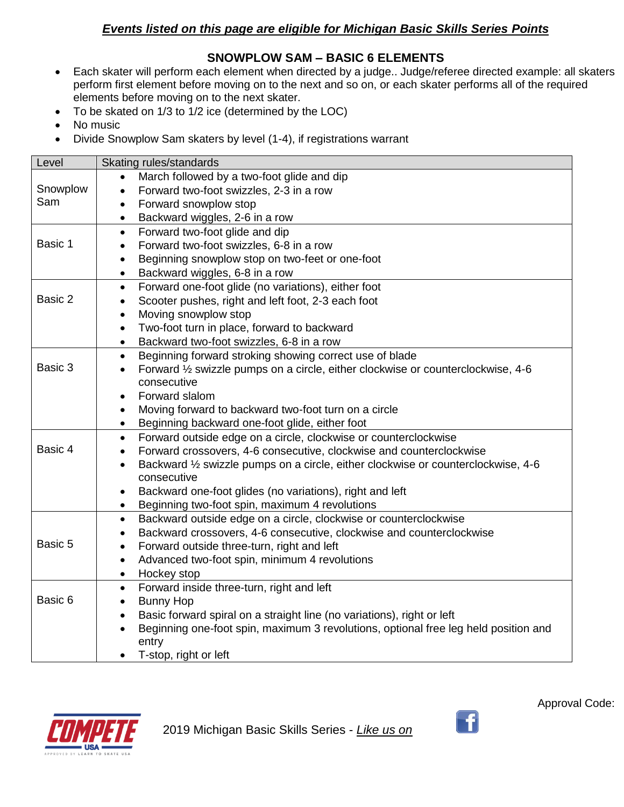## *Events listed on this page are eligible for Michigan Basic Skills Series Points*

### **SNOWPLOW SAM – BASIC 6 ELEMENTS**

- Each skater will perform each element when directed by a judge.. Judge/referee directed example: all skaters perform first element before moving on to the next and so on, or each skater performs all of the required elements before moving on to the next skater.
- To be skated on 1/3 to 1/2 ice (determined by the LOC)
- No music
- Divide Snowplow Sam skaters by level (1-4), if registrations warrant

| Level    | Skating rules/standards                                                                        |  |  |
|----------|------------------------------------------------------------------------------------------------|--|--|
|          | March followed by a two-foot glide and dip                                                     |  |  |
| Snowplow | Forward two-foot swizzles, 2-3 in a row                                                        |  |  |
| Sam      | Forward snowplow stop                                                                          |  |  |
|          | Backward wiggles, 2-6 in a row<br>$\bullet$                                                    |  |  |
|          | Forward two-foot glide and dip<br>$\bullet$                                                    |  |  |
| Basic 1  | Forward two-foot swizzles, 6-8 in a row<br>$\bullet$                                           |  |  |
|          | Beginning snowplow stop on two-feet or one-foot<br>$\bullet$                                   |  |  |
|          | Backward wiggles, 6-8 in a row<br>$\bullet$                                                    |  |  |
|          | Forward one-foot glide (no variations), either foot<br>$\bullet$                               |  |  |
| Basic 2  | Scooter pushes, right and left foot, 2-3 each foot<br>$\bullet$                                |  |  |
|          | Moving snowplow stop<br>$\bullet$                                                              |  |  |
|          | Two-foot turn in place, forward to backward<br>$\bullet$                                       |  |  |
|          | Backward two-foot swizzles, 6-8 in a row<br>$\bullet$                                          |  |  |
|          | Beginning forward stroking showing correct use of blade<br>$\bullet$                           |  |  |
| Basic 3  | Forward 1/2 swizzle pumps on a circle, either clockwise or counterclockwise, 4-6<br>$\bullet$  |  |  |
|          | consecutive                                                                                    |  |  |
|          | Forward slalom                                                                                 |  |  |
|          | Moving forward to backward two-foot turn on a circle                                           |  |  |
|          | Beginning backward one-foot glide, either foot<br>$\bullet$                                    |  |  |
|          | Forward outside edge on a circle, clockwise or counterclockwise<br>$\bullet$                   |  |  |
| Basic 4  | Forward crossovers, 4-6 consecutive, clockwise and counterclockwise<br>$\bullet$               |  |  |
|          | Backward 1/2 swizzle pumps on a circle, either clockwise or counterclockwise, 4-6<br>$\bullet$ |  |  |
|          | consecutive                                                                                    |  |  |
|          | Backward one-foot glides (no variations), right and left<br>$\bullet$                          |  |  |
|          | Beginning two-foot spin, maximum 4 revolutions<br>$\bullet$                                    |  |  |
|          | Backward outside edge on a circle, clockwise or counterclockwise<br>$\bullet$                  |  |  |
|          | Backward crossovers, 4-6 consecutive, clockwise and counterclockwise<br>$\bullet$              |  |  |
| Basic 5  | Forward outside three-turn, right and left<br>$\bullet$                                        |  |  |
|          | Advanced two-foot spin, minimum 4 revolutions<br>$\bullet$                                     |  |  |
|          | Hockey stop<br>$\bullet$                                                                       |  |  |
|          | Forward inside three-turn, right and left<br>$\bullet$                                         |  |  |
| Basic 6  | <b>Bunny Hop</b><br>$\bullet$                                                                  |  |  |
|          | Basic forward spiral on a straight line (no variations), right or left<br>$\bullet$            |  |  |
|          | Beginning one-foot spin, maximum 3 revolutions, optional free leg held position and            |  |  |
|          | entry                                                                                          |  |  |
|          | T-stop, right or left                                                                          |  |  |



2019 Michigan Basic Skills Series - *Like us on* 

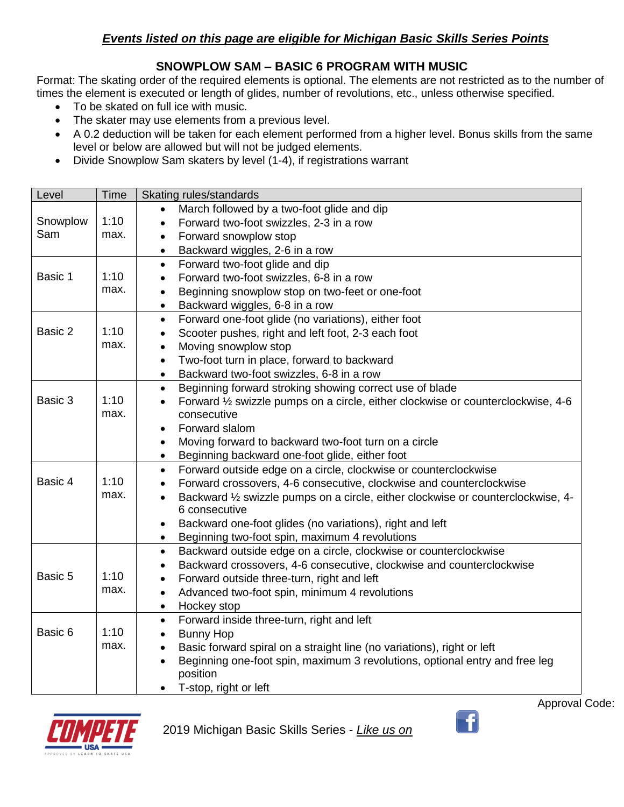### *Events listed on this page are eligible for Michigan Basic Skills Series Points*

### **SNOWPLOW SAM – BASIC 6 PROGRAM WITH MUSIC**

Format: The skating order of the required elements is optional. The elements are not restricted as to the number of times the element is executed or length of glides, number of revolutions, etc., unless otherwise specified.

- To be skated on full ice with music.
- The skater may use elements from a previous level.
- A 0.2 deduction will be taken for each element performed from a higher level. Bonus skills from the same level or below are allowed but will not be judged elements.
- Divide Snowplow Sam skaters by level (1-4), if registrations warrant

| Level    | Time | Skating rules/standards                                                                                        |  |
|----------|------|----------------------------------------------------------------------------------------------------------------|--|
|          |      | March followed by a two-foot glide and dip                                                                     |  |
| Snowplow | 1:10 | Forward two-foot swizzles, 2-3 in a row                                                                        |  |
| Sam      | max. | Forward snowplow stop<br>$\bullet$                                                                             |  |
|          |      | Backward wiggles, 2-6 in a row<br>$\bullet$                                                                    |  |
|          |      | Forward two-foot glide and dip<br>$\bullet$                                                                    |  |
| Basic 1  | 1:10 | Forward two-foot swizzles, 6-8 in a row<br>$\bullet$                                                           |  |
|          | max. | Beginning snowplow stop on two-feet or one-foot<br>$\bullet$                                                   |  |
|          |      | Backward wiggles, 6-8 in a row<br>$\bullet$                                                                    |  |
|          |      | Forward one-foot glide (no variations), either foot<br>$\bullet$                                               |  |
| Basic 2  | 1:10 | Scooter pushes, right and left foot, 2-3 each foot<br>$\bullet$                                                |  |
|          | max. | Moving snowplow stop<br>$\bullet$                                                                              |  |
|          |      | Two-foot turn in place, forward to backward<br>$\bullet$                                                       |  |
|          |      | Backward two-foot swizzles, 6-8 in a row<br>$\bullet$                                                          |  |
|          |      | Beginning forward stroking showing correct use of blade<br>$\bullet$                                           |  |
| Basic 3  | 1:10 | Forward 1/2 swizzle pumps on a circle, either clockwise or counterclockwise, 4-6<br>$\bullet$                  |  |
|          | max. | consecutive                                                                                                    |  |
|          |      | Forward slalom                                                                                                 |  |
|          |      | Moving forward to backward two-foot turn on a circle<br>$\bullet$                                              |  |
|          |      | Beginning backward one-foot glide, either foot<br>$\bullet$                                                    |  |
|          |      | Forward outside edge on a circle, clockwise or counterclockwise<br>$\bullet$                                   |  |
| Basic 4  | 1:10 | Forward crossovers, 4-6 consecutive, clockwise and counterclockwise<br>$\bullet$                               |  |
|          | max. | Backward 1/2 swizzle pumps on a circle, either clockwise or counterclockwise, 4-<br>$\bullet$<br>6 consecutive |  |
|          |      | Backward one-foot glides (no variations), right and left<br>$\bullet$                                          |  |
|          |      | Beginning two-foot spin, maximum 4 revolutions<br>$\bullet$                                                    |  |
|          |      | Backward outside edge on a circle, clockwise or counterclockwise<br>$\bullet$                                  |  |
|          |      | Backward crossovers, 4-6 consecutive, clockwise and counterclockwise<br>$\bullet$                              |  |
| Basic 5  | 1:10 | Forward outside three-turn, right and left<br>$\bullet$                                                        |  |
|          | max. | Advanced two-foot spin, minimum 4 revolutions<br>$\bullet$                                                     |  |
|          |      | Hockey stop<br>$\bullet$                                                                                       |  |
|          |      | Forward inside three-turn, right and left<br>$\bullet$                                                         |  |
| Basic 6  | 1:10 | <b>Bunny Hop</b><br>$\bullet$                                                                                  |  |
|          | max. | Basic forward spiral on a straight line (no variations), right or left<br>$\bullet$                            |  |
|          |      | Beginning one-foot spin, maximum 3 revolutions, optional entry and free leg<br>$\bullet$                       |  |
|          |      | position                                                                                                       |  |
|          |      | T-stop, right or left                                                                                          |  |



2019 Michigan Basic Skills Series - *Like us on* 

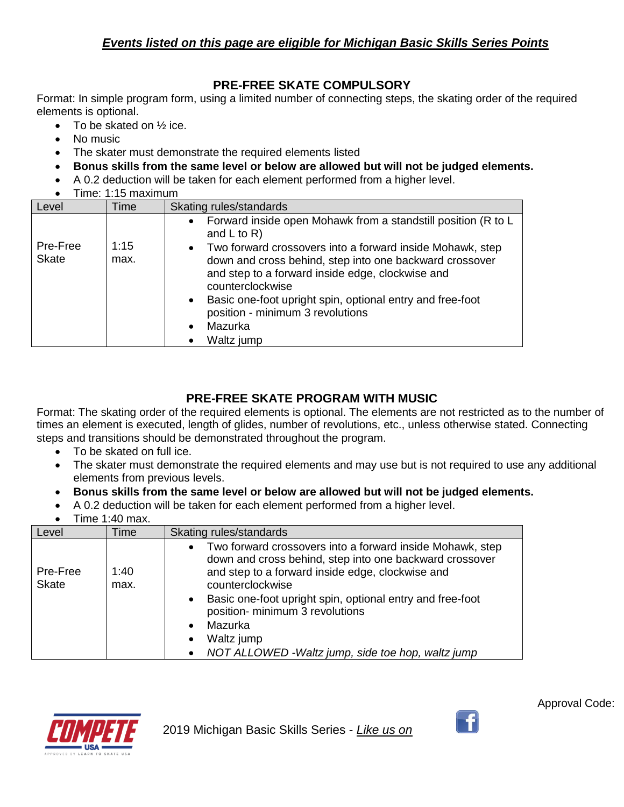### **PRE-FREE SKATE COMPULSORY**

Format: In simple program form, using a limited number of connecting steps, the skating order of the required elements is optional.

- To be skated on  $\frac{1}{2}$  ice.
- No music
- The skater must demonstrate the required elements listed
- **Bonus skills from the same level or below are allowed but will not be judged elements.**
- A 0.2 deduction will be taken for each element performed from a higher level.
- Time: 1:15 maximum

| Level        | <b>Time</b> | Skating rules/standards                                                                                                                                                                                   |
|--------------|-------------|-----------------------------------------------------------------------------------------------------------------------------------------------------------------------------------------------------------|
| Pre-Free     | 1:15        | Forward inside open Mohawk from a standstill position (R to L<br>and $L$ to $R$ )                                                                                                                         |
| <b>Skate</b> | max.        | Two forward crossovers into a forward inside Mohawk, step<br>$\bullet$<br>down and cross behind, step into one backward crossover<br>and step to a forward inside edge, clockwise and<br>counterclockwise |
|              |             | Basic one-foot upright spin, optional entry and free-foot<br>$\bullet$<br>position - minimum 3 revolutions                                                                                                |
|              |             | Mazurka                                                                                                                                                                                                   |
|              |             | Waltz jump                                                                                                                                                                                                |

# **PRE-FREE SKATE PROGRAM WITH MUSIC**

Format: The skating order of the required elements is optional. The elements are not restricted as to the number of times an element is executed, length of glides, number of revolutions, etc., unless otherwise stated. Connecting steps and transitions should be demonstrated throughout the program.

- To be skated on full ice.
- The skater must demonstrate the required elements and may use but is not required to use any additional elements from previous levels.
- **Bonus skills from the same level or below are allowed but will not be judged elements.**
- A 0.2 deduction will be taken for each element performed from a higher level.
- Time 1:40 max.

| Level                    | Time         | Skating rules/standards                                                                                                                                                                                                                                                                                                                                                                                                         |
|--------------------------|--------------|---------------------------------------------------------------------------------------------------------------------------------------------------------------------------------------------------------------------------------------------------------------------------------------------------------------------------------------------------------------------------------------------------------------------------------|
| Pre-Free<br><b>Skate</b> | 1:40<br>max. | Two forward crossovers into a forward inside Mohawk, step<br>$\bullet$<br>down and cross behind, step into one backward crossover<br>and step to a forward inside edge, clockwise and<br>counterclockwise<br>Basic one-foot upright spin, optional entry and free-foot<br>$\bullet$<br>position- minimum 3 revolutions<br>Mazurka<br>$\bullet$<br>Waltz jump<br>$\bullet$<br>NOT ALLOWED - Waltz jump, side toe hop, waltz jump |





 $\cdot$   $\cdot$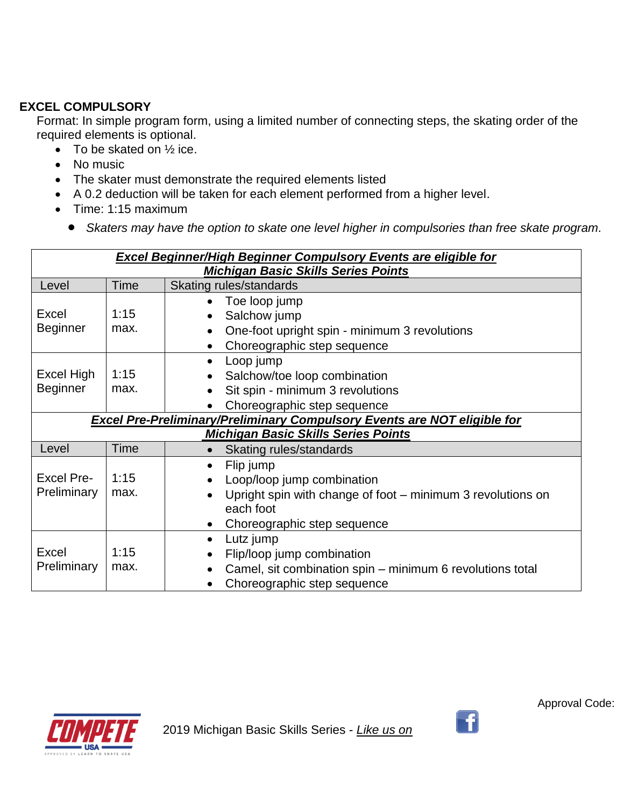### **EXCEL COMPULSORY**

Format: In simple program form, using a limited number of connecting steps, the skating order of the required elements is optional.

- To be skated on  $\frac{1}{2}$  ice.
- No music
- The skater must demonstrate the required elements listed
- A 0.2 deduction will be taken for each element performed from a higher level.
- Time: 1:15 maximum
	- *Skaters may have the option to skate one level higher in compulsories than free skate program.*

| <b>Excel Beginner/High Beginner Compulsory Events are eligible for</b> |                                                                                 |                                                                                                                                                                                                        |  |
|------------------------------------------------------------------------|---------------------------------------------------------------------------------|--------------------------------------------------------------------------------------------------------------------------------------------------------------------------------------------------------|--|
|                                                                        |                                                                                 | <b>Michigan Basic Skills Series Points</b>                                                                                                                                                             |  |
| Level                                                                  | Time                                                                            | Skating rules/standards                                                                                                                                                                                |  |
| Excel<br>Beginner                                                      | 1:15<br>max.                                                                    | Toe loop jump<br>$\bullet$<br>Salchow jump<br>$\bullet$<br>One-foot upright spin - minimum 3 revolutions<br>$\bullet$<br>Choreographic step sequence<br>$\bullet$                                      |  |
| Excel High<br><b>Beginner</b>                                          | 1:15<br>max.                                                                    | Loop jump<br>$\bullet$<br>Salchow/toe loop combination<br>$\bullet$<br>Sit spin - minimum 3 revolutions<br>$\bullet$<br>Choreographic step sequence                                                    |  |
|                                                                        | <b>Excel Pre-Preliminary/Preliminary Compulsory Events are NOT eligible for</b> |                                                                                                                                                                                                        |  |
|                                                                        |                                                                                 | <b>Michigan Basic Skills Series Points</b>                                                                                                                                                             |  |
| Level                                                                  | <b>Time</b>                                                                     | Skating rules/standards<br>$\bullet$                                                                                                                                                                   |  |
| <b>Excel Pre-</b><br>Preliminary                                       | 1:15<br>max.                                                                    | Flip jump<br>$\bullet$<br>Loop/loop jump combination<br>$\bullet$<br>Upright spin with change of foot – minimum 3 revolutions on<br>$\bullet$<br>each foot<br>Choreographic step sequence<br>$\bullet$ |  |
| Excel<br>Preliminary                                                   | 1:15<br>max.                                                                    | Lutz jump<br>$\bullet$<br>Flip/loop jump combination<br>$\bullet$<br>Camel, sit combination spin – minimum 6 revolutions total<br>$\bullet$<br>Choreographic step sequence<br>$\bullet$                |  |





 $\left| \cdot \right|$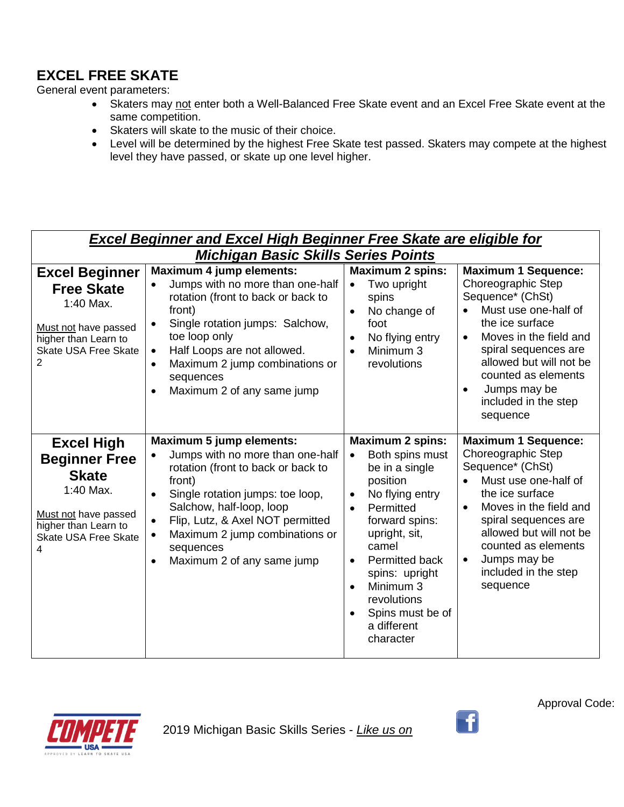# **EXCEL FREE SKATE**

General event parameters:

- Skaters may not enter both a Well-Balanced Free Skate event and an Excel Free Skate event at the same competition.
- Skaters will skate to the music of their choice.
- Level will be determined by the highest Free Skate test passed. Skaters may compete at the highest level they have passed, or skate up one level higher.

|                                                                                                                                                          | <b>Excel Beginner and Excel High Beginner Free Skate are eligible for</b>                                                                                                                                                                                                                                                                                                             |                                                                                                                                                                                                                                                                                                                          |                                                                                                                                                                                                                                                                                                   |  |  |
|----------------------------------------------------------------------------------------------------------------------------------------------------------|---------------------------------------------------------------------------------------------------------------------------------------------------------------------------------------------------------------------------------------------------------------------------------------------------------------------------------------------------------------------------------------|--------------------------------------------------------------------------------------------------------------------------------------------------------------------------------------------------------------------------------------------------------------------------------------------------------------------------|---------------------------------------------------------------------------------------------------------------------------------------------------------------------------------------------------------------------------------------------------------------------------------------------------|--|--|
| <b>Excel Beginner</b><br><b>Free Skate</b><br>1:40 Max.<br>Must not have passed<br>higher than Learn to<br><b>Skate USA Free Skate</b><br>$\overline{2}$ | <b>Michigan Basic Skills Series Points</b><br><b>Maximum 4 jump elements:</b><br>Jumps with no more than one-half<br>rotation (front to back or back to<br>front)<br>Single rotation jumps: Salchow,<br>$\bullet$<br>toe loop only<br>Half Loops are not allowed.<br>$\bullet$<br>Maximum 2 jump combinations or<br>$\bullet$<br>sequences<br>Maximum 2 of any same jump<br>$\bullet$ | <b>Maximum 2 spins:</b><br>Two upright<br>$\bullet$<br>spins<br>No change of<br>$\bullet$<br>foot<br>No flying entry<br>$\bullet$<br>Minimum 3<br>$\bullet$<br>revolutions                                                                                                                                               | <b>Maximum 1 Sequence:</b><br>Choreographic Step<br>Sequence* (ChSt)<br>Must use one-half of<br>$\bullet$<br>the ice surface<br>Moves in the field and<br>spiral sequences are<br>allowed but will not be<br>counted as elements<br>Jumps may be<br>included in the step<br>sequence              |  |  |
| <b>Excel High</b><br><b>Beginner Free</b><br><b>Skate</b><br>1:40 Max.<br>Must not have passed<br>higher than Learn to<br>Skate USA Free Skate<br>4      | <b>Maximum 5 jump elements:</b><br>Jumps with no more than one-half<br>$\bullet$<br>rotation (front to back or back to<br>front)<br>Single rotation jumps: toe loop,<br>$\bullet$<br>Salchow, half-loop, loop<br>Flip, Lutz, & Axel NOT permitted<br>$\bullet$<br>Maximum 2 jump combinations or<br>$\bullet$<br>sequences<br>Maximum 2 of any same jump                              | <b>Maximum 2 spins:</b><br>Both spins must<br>$\bullet$<br>be in a single<br>position<br>No flying entry<br>$\bullet$<br>Permitted<br>forward spins:<br>upright, sit,<br>camel<br>Permitted back<br>$\bullet$<br>spins: upright<br>Minimum 3<br>$\bullet$<br>revolutions<br>Spins must be of<br>a different<br>character | <b>Maximum 1 Sequence:</b><br>Choreographic Step<br>Sequence* (ChSt)<br>Must use one-half of<br>the ice surface<br>Moves in the field and<br>$\bullet$<br>spiral sequences are<br>allowed but will not be<br>counted as elements<br>Jumps may be<br>$\bullet$<br>included in the step<br>sequence |  |  |



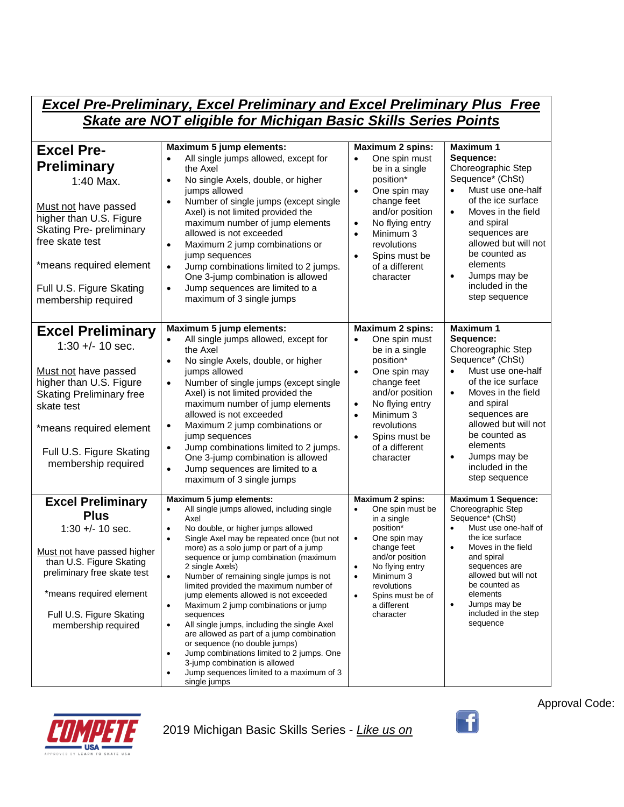| <b>Excel Pre-Preliminary, Excel Preliminary and Excel Preliminary Plus Free</b>                                                                                                                                                             |                                                                                                                                                                                                                                                                                                                                                                                                                                                                                                                                                                                                                                                                                                                                                                                                                                  |                                                                                                                                                                                                                                                                                           |                                                                                                                                                                                                                                                                                                                         |  |
|---------------------------------------------------------------------------------------------------------------------------------------------------------------------------------------------------------------------------------------------|----------------------------------------------------------------------------------------------------------------------------------------------------------------------------------------------------------------------------------------------------------------------------------------------------------------------------------------------------------------------------------------------------------------------------------------------------------------------------------------------------------------------------------------------------------------------------------------------------------------------------------------------------------------------------------------------------------------------------------------------------------------------------------------------------------------------------------|-------------------------------------------------------------------------------------------------------------------------------------------------------------------------------------------------------------------------------------------------------------------------------------------|-------------------------------------------------------------------------------------------------------------------------------------------------------------------------------------------------------------------------------------------------------------------------------------------------------------------------|--|
| <b>Skate are NOT eligible for Michigan Basic Skills Series Points</b>                                                                                                                                                                       |                                                                                                                                                                                                                                                                                                                                                                                                                                                                                                                                                                                                                                                                                                                                                                                                                                  |                                                                                                                                                                                                                                                                                           |                                                                                                                                                                                                                                                                                                                         |  |
| <b>Excel Pre-</b><br><b>Preliminary</b><br>1:40 Max.<br>Must not have passed<br>higher than U.S. Figure<br><b>Skating Pre- preliminary</b><br>free skate test<br>*means required element<br>Full U.S. Figure Skating<br>membership required | Maximum 5 jump elements:<br>All single jumps allowed, except for<br>$\bullet$<br>the Axel<br>No single Axels, double, or higher<br>$\bullet$<br>jumps allowed<br>Number of single jumps (except single<br>$\bullet$<br>Axel) is not limited provided the<br>maximum number of jump elements<br>allowed is not exceeded<br>Maximum 2 jump combinations or<br>$\bullet$<br>jump sequences<br>Jump combinations limited to 2 jumps.<br>$\bullet$<br>One 3-jump combination is allowed<br>Jump sequences are limited to a<br>$\bullet$<br>maximum of 3 single jumps                                                                                                                                                                                                                                                                  | <b>Maximum 2 spins:</b><br>One spin must<br>$\bullet$<br>be in a single<br>position*<br>$\bullet$<br>One spin may<br>change feet<br>and/or position<br>No flying entry<br>$\bullet$<br>Minimum 3<br>$\bullet$<br>revolutions<br>Spins must be<br>$\bullet$<br>of a different<br>character | <b>Maximum 1</b><br>Sequence:<br>Choreographic Step<br>Sequence* (ChSt)<br>Must use one-half<br>$\bullet$<br>of the ice surface<br>Moves in the field<br>$\bullet$<br>and spiral<br>sequences are<br>allowed but will not<br>be counted as<br>elements<br>Jumps may be<br>$\bullet$<br>included in the<br>step sequence |  |
| <b>Excel Preliminary</b><br>$1:30 +/- 10$ sec.<br>Must not have passed<br>higher than U.S. Figure<br><b>Skating Preliminary free</b><br>skate test<br>*means required element<br>Full U.S. Figure Skating<br>membership required            | Maximum 5 jump elements:<br>All single jumps allowed, except for<br>the Axel<br>No single Axels, double, or higher<br>$\bullet$<br>jumps allowed<br>Number of single jumps (except single<br>$\bullet$<br>Axel) is not limited provided the<br>maximum number of jump elements<br>allowed is not exceeded<br>Maximum 2 jump combinations or<br>$\bullet$<br>jump sequences<br>Jump combinations limited to 2 jumps.<br>$\bullet$<br>One 3-jump combination is allowed<br>Jump sequences are limited to a<br>$\bullet$<br>maximum of 3 single jumps                                                                                                                                                                                                                                                                               | <b>Maximum 2 spins:</b><br>One spin must<br>$\bullet$<br>be in a single<br>position*<br>One spin may<br>$\bullet$<br>change feet<br>and/or position<br>No flying entry<br>$\bullet$<br>Minimum 3<br>$\bullet$<br>revolutions<br>Spins must be<br>$\bullet$<br>of a different<br>character | <b>Maximum 1</b><br>Sequence:<br>Choreographic Step<br>Sequence* (ChSt)<br>Must use one-half<br>$\bullet$<br>of the ice surface<br>Moves in the field<br>$\bullet$<br>and spiral<br>sequences are<br>allowed but will not<br>be counted as<br>elements<br>Jumps may be<br>$\bullet$<br>included in the<br>step sequence |  |
| <b>Excel Preliminary</b><br><b>Plus</b><br>$1:30 +/- 10$ sec.<br>Must not have passed higher<br>than U.S. Figure Skating<br>preliminary free skate test<br>*means required element<br>Full U.S. Figure Skating<br>membership required       | Maximum 5 jump elements:<br>All single jumps allowed, including single<br>$\bullet$<br>Axel<br>No double, or higher jumps allowed<br>٠<br>Single Axel may be repeated once (but not<br>$\bullet$<br>more) as a solo jump or part of a jump<br>sequence or jump combination (maximum<br>2 single Axels)<br>Number of remaining single jumps is not<br>$\bullet$<br>limited provided the maximum number of<br>jump elements allowed is not exceeded<br>Maximum 2 jump combinations or jump<br>$\bullet$<br>sequences<br>All single jumps, including the single Axel<br>$\bullet$<br>are allowed as part of a jump combination<br>or sequence (no double jumps)<br>Jump combinations limited to 2 jumps. One<br>$\bullet$<br>3-jump combination is allowed<br>Jump sequences limited to a maximum of 3<br>$\bullet$<br>single jumps | <b>Maximum 2 spins:</b><br>One spin must be<br>$\bullet$<br>in a single<br>position*<br>One spin may<br>$\bullet$<br>change feet<br>and/or position<br>No flying entry<br>$\bullet$<br>Minimum 3<br>$\bullet$<br>revolutions<br>Spins must be of<br>$\bullet$<br>a different<br>character | <b>Maximum 1 Sequence:</b><br>Choreographic Step<br>Sequence* (ChSt)<br>Must use one-half of<br>the ice surface<br>Moves in the field<br>$\bullet$<br>and spiral<br>sequences are<br>allowed but will not<br>be counted as<br>elements<br>Jumps may be<br>$\bullet$<br>included in the step<br>sequence                 |  |



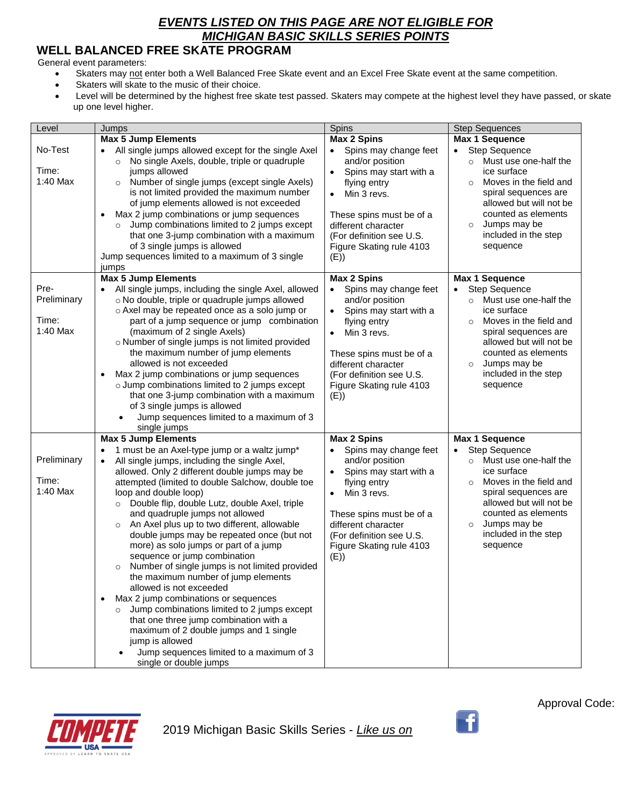## **WELL BALANCED FREE SKATE PROGRAM**

General event parameters:

- Skaters may not enter both a Well Balanced Free Skate event and an Excel Free Skate event at the same competition.
- Skaters will skate to the music of their choice.
- Level will be determined by the highest free skate test passed. Skaters may compete at the highest level they have passed, or skate up one level higher.

| Level                                    | Jumps                                                                                                                                                                                                                                                                                                                                                                                                                                                                                                                                                                                                                                                                                                                                                                                                                                                                                                                                 | Spins                                                                                                                                                                                                                                                       | <b>Step Sequences</b>                                                                                                                                                                                                                                               |
|------------------------------------------|---------------------------------------------------------------------------------------------------------------------------------------------------------------------------------------------------------------------------------------------------------------------------------------------------------------------------------------------------------------------------------------------------------------------------------------------------------------------------------------------------------------------------------------------------------------------------------------------------------------------------------------------------------------------------------------------------------------------------------------------------------------------------------------------------------------------------------------------------------------------------------------------------------------------------------------|-------------------------------------------------------------------------------------------------------------------------------------------------------------------------------------------------------------------------------------------------------------|---------------------------------------------------------------------------------------------------------------------------------------------------------------------------------------------------------------------------------------------------------------------|
|                                          | <b>Max 5 Jump Elements</b>                                                                                                                                                                                                                                                                                                                                                                                                                                                                                                                                                                                                                                                                                                                                                                                                                                                                                                            | <b>Max 2 Spins</b>                                                                                                                                                                                                                                          | Max 1 Sequence                                                                                                                                                                                                                                                      |
| No-Test<br>Time:<br>1:40 Max             | All single jumps allowed except for the single Axel<br>$\bullet$<br>No single Axels, double, triple or quadruple<br>$\circ$<br>jumps allowed<br>Number of single jumps (except single Axels)<br>$\circ$<br>is not limited provided the maximum number<br>of jump elements allowed is not exceeded<br>Max 2 jump combinations or jump sequences<br>$\bullet$<br>Jump combinations limited to 2 jumps except<br>$\circ$<br>that one 3-jump combination with a maximum<br>of 3 single jumps is allowed<br>Jump sequences limited to a maximum of 3 single<br>jumps                                                                                                                                                                                                                                                                                                                                                                       | Spins may change feet<br>$\bullet$<br>and/or position<br>Spins may start with a<br>$\bullet$<br>flying entry<br>Min 3 revs.<br>$\bullet$<br>These spins must be of a<br>different character<br>(For definition see U.S.<br>Figure Skating rule 4103<br>(E)) | <b>Step Sequence</b><br>$\bullet$<br>Must use one-half the<br>$\circ$<br>ice surface<br>Moves in the field and<br>$\Omega$<br>spiral sequences are<br>allowed but will not be<br>counted as elements<br>Jumps may be<br>$\circ$<br>included in the step<br>sequence |
|                                          | <b>Max 5 Jump Elements</b>                                                                                                                                                                                                                                                                                                                                                                                                                                                                                                                                                                                                                                                                                                                                                                                                                                                                                                            | <b>Max 2 Spins</b>                                                                                                                                                                                                                                          | <b>Max 1 Sequence</b>                                                                                                                                                                                                                                               |
| Pre-<br>Preliminary<br>Time:<br>1:40 Max | All single jumps, including the single Axel, allowed<br>o No double, triple or quadruple jumps allowed<br>o Axel may be repeated once as a solo jump or<br>part of a jump sequence or jump combination<br>(maximum of 2 single Axels)<br>o Number of single jumps is not limited provided<br>the maximum number of jump elements<br>allowed is not exceeded<br>Max 2 jump combinations or jump sequences<br>o Jump combinations limited to 2 jumps except<br>that one 3-jump combination with a maximum<br>of 3 single jumps is allowed<br>Jump sequences limited to a maximum of 3<br>single jumps                                                                                                                                                                                                                                                                                                                                   | Spins may change feet<br>and/or position<br>Spins may start with a<br>$\bullet$<br>flying entry<br>Min 3 revs.<br>$\bullet$<br>These spins must be of a<br>different character<br>(For definition see U.S.<br>Figure Skating rule 4103<br>(E)               | <b>Step Sequence</b><br>$\bullet$<br>Must use one-half the<br>$\circ$<br>ice surface<br>Moves in the field and<br>$\circ$<br>spiral sequences are<br>allowed but will not be<br>counted as elements<br>Jumps may be<br>$\circ$<br>included in the step<br>sequence  |
|                                          | <b>Max 5 Jump Elements</b>                                                                                                                                                                                                                                                                                                                                                                                                                                                                                                                                                                                                                                                                                                                                                                                                                                                                                                            | <b>Max 2 Spins</b>                                                                                                                                                                                                                                          | Max 1 Sequence                                                                                                                                                                                                                                                      |
| Preliminary<br>Time:<br>1:40 Max         | 1 must be an Axel-type jump or a waltz jump*<br>All single jumps, including the single Axel,<br>allowed. Only 2 different double jumps may be<br>attempted (limited to double Salchow, double toe<br>loop and double loop)<br>Double flip, double Lutz, double Axel, triple<br>$\circ$<br>and quadruple jumps not allowed<br>An Axel plus up to two different, allowable<br>$\circ$<br>double jumps may be repeated once (but not<br>more) as solo jumps or part of a jump<br>sequence or jump combination<br>Number of single jumps is not limited provided<br>$\circ$<br>the maximum number of jump elements<br>allowed is not exceeded<br>Max 2 jump combinations or sequences<br>$\bullet$<br>Jump combinations limited to 2 jumps except<br>$\circ$<br>that one three jump combination with a<br>maximum of 2 double jumps and 1 single<br>jump is allowed<br>Jump sequences limited to a maximum of 3<br>single or double jumps | Spins may change feet<br>and/or position<br>Spins may start with a<br>$\bullet$<br>flying entry<br>Min 3 revs.<br>$\bullet$<br>These spins must be of a<br>different character<br>(For definition see U.S.<br>Figure Skating rule 4103<br>(E))              | <b>Step Sequence</b><br>$\bullet$<br>Must use one-half the<br>$\circ$<br>ice surface<br>Moves in the field and<br>$\circ$<br>spiral sequences are<br>allowed but will not be<br>counted as elements<br>Jumps may be<br>$\circ$<br>included in the step<br>sequence  |



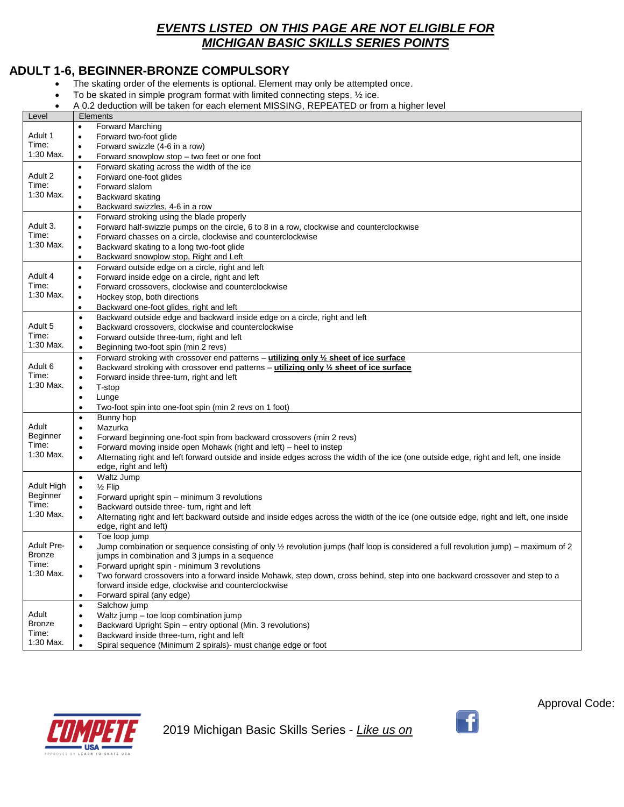### **ADULT 1-6, BEGINNER-BRONZE COMPULSORY**

- The skating order of the elements is optional. Element may only be attempted once.
- To be skated in simple program format with limited connecting steps, ½ ice.
- A 0.2 deduction will be taken for each element MISSING, REPEATED or from a higher level

| Level             | Elements                                                                                                                                                        |  |
|-------------------|-----------------------------------------------------------------------------------------------------------------------------------------------------------------|--|
|                   | <b>Forward Marching</b><br>$\bullet$                                                                                                                            |  |
| Adult 1           | Forward two-foot glide<br>$\bullet$                                                                                                                             |  |
| Time:             | Forward swizzle (4-6 in a row)<br>٠                                                                                                                             |  |
| 1:30 Max.         | Forward snowplow stop - two feet or one foot<br>$\bullet$                                                                                                       |  |
|                   | Forward skating across the width of the ice<br>$\bullet$                                                                                                        |  |
| Adult 2           | Forward one-foot glides<br>٠                                                                                                                                    |  |
| Time:             | Forward slalom<br>$\bullet$                                                                                                                                     |  |
| 1:30 Max.         | Backward skating<br>$\bullet$                                                                                                                                   |  |
|                   | Backward swizzles, 4-6 in a row<br>$\bullet$                                                                                                                    |  |
|                   | Forward stroking using the blade properly<br>$\bullet$                                                                                                          |  |
| Adult 3.          | Forward half-swizzle pumps on the circle, 6 to 8 in a row, clockwise and counterclockwise<br>٠                                                                  |  |
| Time:             | Forward chasses on a circle, clockwise and counterclockwise<br>$\bullet$                                                                                        |  |
| 1:30 Max.         | Backward skating to a long two-foot glide<br>$\bullet$                                                                                                          |  |
|                   | Backward snowplow stop, Right and Left<br>$\bullet$                                                                                                             |  |
|                   | Forward outside edge on a circle, right and left<br>$\bullet$                                                                                                   |  |
| Adult 4           | Forward inside edge on a circle, right and left<br>$\bullet$                                                                                                    |  |
| Time:             | Forward crossovers, clockwise and counterclockwise<br>٠                                                                                                         |  |
| 1:30 Max.         | Hockey stop, both directions<br>$\bullet$                                                                                                                       |  |
|                   | Backward one-foot glides, right and left<br>$\bullet$                                                                                                           |  |
|                   | Backward outside edge and backward inside edge on a circle, right and left<br>$\bullet$                                                                         |  |
| Adult 5           | Backward crossovers, clockwise and counterclockwise<br>$\bullet$                                                                                                |  |
| Time:             | Forward outside three-turn, right and left<br>$\bullet$                                                                                                         |  |
| 1:30 Max.         | Beginning two-foot spin (min 2 revs)<br>$\bullet$                                                                                                               |  |
|                   | Forward stroking with crossover end patterns - utilizing only 1/2 sheet of ice surface<br>$\bullet$                                                             |  |
| Adult 6           | Backward stroking with crossover end patterns – utilizing only $\frac{1}{2}$ sheet of ice surface<br>$\bullet$                                                  |  |
| Time:             | Forward inside three-turn, right and left<br>$\bullet$                                                                                                          |  |
| 1:30 Max.         | T-stop<br>$\bullet$                                                                                                                                             |  |
|                   | Lunge<br>٠                                                                                                                                                      |  |
|                   | Two-foot spin into one-foot spin (min 2 revs on 1 foot)<br>$\bullet$                                                                                            |  |
|                   | Bunny hop<br>$\bullet$                                                                                                                                          |  |
| Adult             | Mazurka<br>$\bullet$                                                                                                                                            |  |
| Beginner<br>Time: | Forward beginning one-foot spin from backward crossovers (min 2 revs)<br>$\bullet$                                                                              |  |
| 1:30 Max.         | Forward moving inside open Mohawk (right and left) – heel to instep<br>$\bullet$                                                                                |  |
|                   | Alternating right and left forward outside and inside edges across the width of the ice (one outside edge, right and left, one inside<br>$\bullet$              |  |
|                   | edge, right and left)                                                                                                                                           |  |
| Adult High        | Waltz Jump<br>$\bullet$                                                                                                                                         |  |
| Beginner          | $\frac{1}{2}$ Flip<br>$\bullet$                                                                                                                                 |  |
| Time:             | Forward upright spin - minimum 3 revolutions<br>$\bullet$<br>Backward outside three- turn, right and left<br>$\bullet$                                          |  |
| 1:30 Max.         | $\bullet$                                                                                                                                                       |  |
|                   | Alternating right and left backward outside and inside edges across the width of the ice (one outside edge, right and left, one inside<br>edge, right and left) |  |
|                   | Toe loop jump<br>$\bullet$                                                                                                                                      |  |
| <b>Adult Pre-</b> | Jump combination or sequence consisting of only 1/2 revolution jumps (half loop is considered a full revolution jump) - maximum of 2<br>$\bullet$               |  |
| <b>Bronze</b>     | jumps in combination and 3 jumps in a sequence                                                                                                                  |  |
| Time:             | Forward upright spin - minimum 3 revolutions                                                                                                                    |  |
| 1:30 Max.         | Two forward crossovers into a forward inside Mohawk, step down, cross behind, step into one backward crossover and step to a<br>$\bullet$                       |  |
|                   | forward inside edge, clockwise and counterclockwise                                                                                                             |  |
|                   | Forward spiral (any edge)<br>$\bullet$                                                                                                                          |  |
|                   | Salchow jump<br>$\bullet$                                                                                                                                       |  |
| Adult             | Waltz jump - toe loop combination jump<br>$\bullet$                                                                                                             |  |
| <b>Bronze</b>     | Backward Upright Spin - entry optional (Min. 3 revolutions)                                                                                                     |  |
| Time:             | Backward inside three-turn, right and left                                                                                                                      |  |
| 1:30 Max.         | Spiral sequence (Minimum 2 spirals)- must change edge or foot<br>$\bullet$                                                                                      |  |



2019 Michigan Basic Skills Series - *Like us on* 

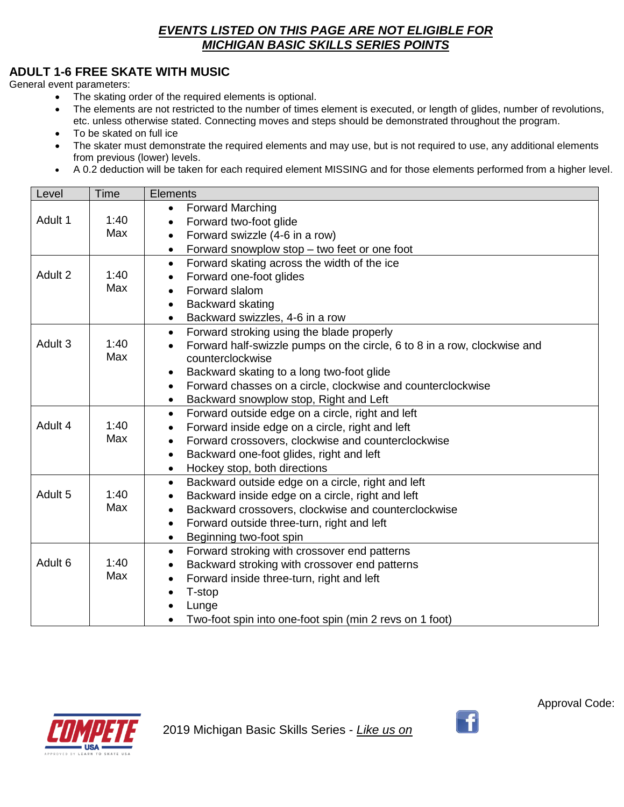### **ADULT 1-6 FREE SKATE WITH MUSIC**

General event parameters:

- The skating order of the required elements is optional.
- The elements are not restricted to the number of times element is executed, or length of glides, number of revolutions, etc. unless otherwise stated. Connecting moves and steps should be demonstrated throughout the program.
- To be skated on full ice
- The skater must demonstrate the required elements and may use, but is not required to use, any additional elements from previous (lower) levels.
- A 0.2 deduction will be taken for each required element MISSING and for those elements performed from a higher level.

| Level              | Time        | <b>Elements</b>                                                                                           |
|--------------------|-------------|-----------------------------------------------------------------------------------------------------------|
|                    |             | <b>Forward Marching</b><br>$\bullet$                                                                      |
| Adult 1            | 1:40        | Forward two-foot glide<br>$\bullet$                                                                       |
|                    | Max         | Forward swizzle (4-6 in a row)<br>$\bullet$                                                               |
|                    |             | Forward snowplow stop - two feet or one foot<br>$\bullet$                                                 |
|                    |             | Forward skating across the width of the ice<br>$\bullet$                                                  |
| Adult 2            | 1:40        | Forward one-foot glides                                                                                   |
|                    | Max         | Forward slalom<br>$\bullet$                                                                               |
|                    |             | Backward skating<br>$\bullet$                                                                             |
|                    |             | Backward swizzles, 4-6 in a row<br>$\bullet$                                                              |
|                    |             | Forward stroking using the blade properly<br>$\bullet$                                                    |
| Adult 3            | 1:40<br>Max | Forward half-swizzle pumps on the circle, 6 to 8 in a row, clockwise and<br>$\bullet$<br>counterclockwise |
|                    |             | Backward skating to a long two-foot glide<br>$\bullet$                                                    |
|                    |             | Forward chasses on a circle, clockwise and counterclockwise<br>$\bullet$                                  |
|                    |             | Backward snowplow stop, Right and Left<br>$\bullet$                                                       |
|                    |             | Forward outside edge on a circle, right and left<br>$\bullet$                                             |
| Adult 4            | 1:40        | Forward inside edge on a circle, right and left<br>$\bullet$                                              |
|                    | Max         | Forward crossovers, clockwise and counterclockwise<br>$\bullet$                                           |
|                    |             | Backward one-foot glides, right and left<br>$\bullet$                                                     |
|                    |             | Hockey stop, both directions<br>$\bullet$                                                                 |
|                    |             | Backward outside edge on a circle, right and left<br>$\bullet$                                            |
| Adult 5            | 1:40        | Backward inside edge on a circle, right and left<br>$\bullet$                                             |
|                    | Max         | Backward crossovers, clockwise and counterclockwise<br>$\bullet$                                          |
|                    |             | Forward outside three-turn, right and left<br>$\bullet$                                                   |
|                    |             | Beginning two-foot spin<br>$\bullet$                                                                      |
|                    |             | Forward stroking with crossover end patterns<br>$\bullet$                                                 |
| Adult <sub>6</sub> | 1:40        | Backward stroking with crossover end patterns<br>$\bullet$                                                |
|                    | Max         | Forward inside three-turn, right and left<br>$\bullet$                                                    |
|                    |             | T-stop<br>$\bullet$                                                                                       |
|                    |             | Lunge                                                                                                     |
|                    |             | Two-foot spin into one-foot spin (min 2 revs on 1 foot)                                                   |



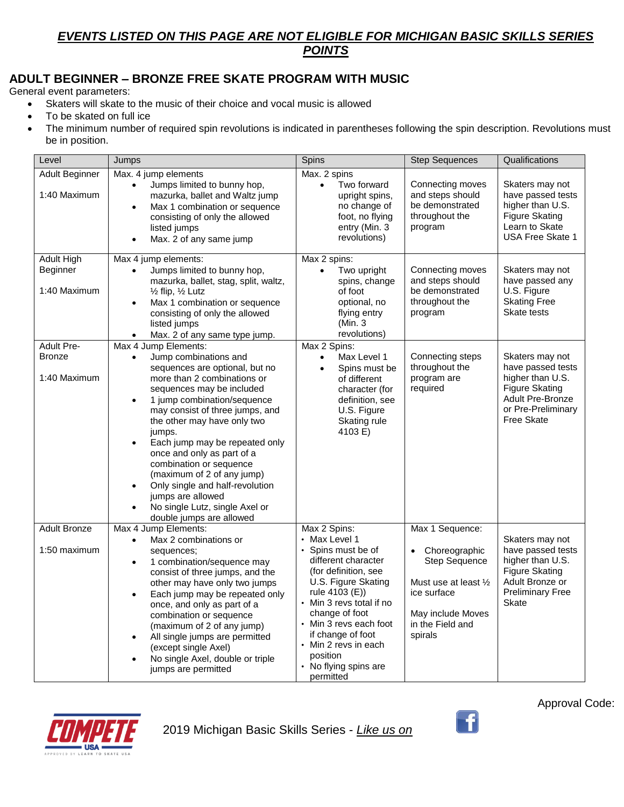### **ADULT BEGINNER – BRONZE FREE SKATE PROGRAM WITH MUSIC**

General event parameters:

- Skaters will skate to the music of their choice and vocal music is allowed
- To be skated on full ice
- The minimum number of required spin revolutions is indicated in parentheses following the spin description. Revolutions must be in position.

| Level                                         | Jumps                                                                                                                                                                                                                                                                                                                                                                                                                                                                                                                                        | Spins                                                                                                                                                                                                                                                                                                          | <b>Step Sequences</b>                                                                                                                         | Qualifications                                                                                                                                          |
|-----------------------------------------------|----------------------------------------------------------------------------------------------------------------------------------------------------------------------------------------------------------------------------------------------------------------------------------------------------------------------------------------------------------------------------------------------------------------------------------------------------------------------------------------------------------------------------------------------|----------------------------------------------------------------------------------------------------------------------------------------------------------------------------------------------------------------------------------------------------------------------------------------------------------------|-----------------------------------------------------------------------------------------------------------------------------------------------|---------------------------------------------------------------------------------------------------------------------------------------------------------|
| Adult Beginner<br>1:40 Maximum                | Max. 4 jump elements<br>Jumps limited to bunny hop,<br>$\bullet$<br>mazurka, ballet and Waltz jump<br>Max 1 combination or sequence<br>$\bullet$<br>consisting of only the allowed<br>listed jumps<br>Max. 2 of any same jump                                                                                                                                                                                                                                                                                                                | Max. 2 spins<br>Two forward<br>$\bullet$<br>upright spins,<br>no change of<br>foot, no flying<br>entry (Min. 3<br>revolutions)                                                                                                                                                                                 | Connecting moves<br>and steps should<br>be demonstrated<br>throughout the<br>program                                                          | Skaters may not<br>have passed tests<br>higher than U.S.<br>Figure Skating<br>Learn to Skate<br><b>USA Free Skate 1</b>                                 |
| <b>Adult High</b><br>Beginner<br>1:40 Maximum | Max 4 jump elements:<br>Jumps limited to bunny hop,<br>$\bullet$<br>mazurka, ballet, stag, split, waltz,<br>$\frac{1}{2}$ flip, $\frac{1}{2}$ Lutz<br>Max 1 combination or sequence<br>$\bullet$<br>consisting of only the allowed<br>listed jumps<br>Max. 2 of any same type jump.                                                                                                                                                                                                                                                          | Max 2 spins:<br>Two upright<br>$\bullet$<br>spins, change<br>of foot<br>optional, no<br>flying entry<br>(Min. 3<br>revolutions)                                                                                                                                                                                | Connecting moves<br>and steps should<br>be demonstrated<br>throughout the<br>program                                                          | Skaters may not<br>have passed any<br>U.S. Figure<br><b>Skating Free</b><br>Skate tests                                                                 |
| <b>Adult Pre-</b><br>Bronze<br>1:40 Maximum   | Max 4 Jump Elements:<br>Jump combinations and<br>$\bullet$<br>sequences are optional, but no<br>more than 2 combinations or<br>sequences may be included<br>1 jump combination/sequence<br>$\bullet$<br>may consist of three jumps, and<br>the other may have only two<br>jumps.<br>Each jump may be repeated only<br>once and only as part of a<br>combination or sequence<br>(maximum of 2 of any jump)<br>Only single and half-revolution<br>$\bullet$<br>jumps are allowed<br>No single Lutz, single Axel or<br>double jumps are allowed | Max 2 Spins:<br>Max Level 1<br>Spins must be<br>of different<br>character (for<br>definition, see<br>U.S. Figure<br>Skating rule<br>4103 E)                                                                                                                                                                    | Connecting steps<br>throughout the<br>program are<br>required                                                                                 | Skaters may not<br>have passed tests<br>higher than U.S.<br><b>Figure Skating</b><br><b>Adult Pre-Bronze</b><br>or Pre-Preliminary<br><b>Free Skate</b> |
| <b>Adult Bronze</b><br>1:50 maximum           | Max 4 Jump Elements:<br>Max 2 combinations or<br>$\bullet$<br>sequences;<br>1 combination/sequence may<br>$\bullet$<br>consist of three jumps, and the<br>other may have only two jumps<br>Each jump may be repeated only<br>$\bullet$<br>once, and only as part of a<br>combination or sequence<br>(maximum of 2 of any jump)<br>All single jumps are permitted<br>$\bullet$<br>(except single Axel)<br>No single Axel, double or triple<br>jumps are permitted                                                                             | Max 2 Spins:<br>Max Level 1<br>Spins must be of<br>different character<br>(for definition, see<br>U.S. Figure Skating<br>rule 4103 (E))<br>• Min 3 revs total if no<br>change of foot<br>• Min 3 revs each foot<br>if change of foot<br>• Min 2 revs in each<br>position<br>• No flying spins are<br>permitted | Max 1 Sequence:<br>Choreographic<br>Step Sequence<br>Must use at least 1/2<br>ice surface<br>May include Moves<br>in the Field and<br>spirals | Skaters may not<br>have passed tests<br>higher than U.S.<br><b>Figure Skating</b><br>Adult Bronze or<br><b>Preliminary Free</b><br>Skate                |



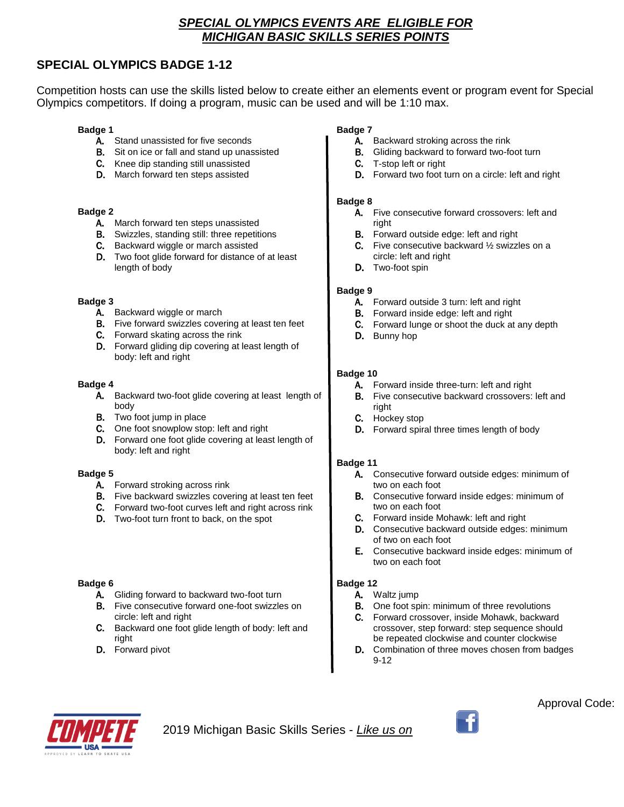### *SPECIAL OLYMPICS EVENTS ARE ELIGIBLE FOR MICHIGAN BASIC SKILLS SERIES POINTS*

### **SPECIAL OLYMPICS BADGE 1-12**

Competition hosts can use the skills listed below to create either an elements event or program event for Special Olympics competitors. If doing a program, music can be used and will be 1:10 max.

#### **Badge 1**

- A. Stand unassisted for five seconds
- B. Sit on ice or fall and stand up unassisted
- C. Knee dip standing still unassisted
- D. March forward ten steps assisted

#### **Badge 2**

- A. March forward ten steps unassisted
- B. Swizzles, standing still: three repetitions
- C. Backward wiggle or march assisted
- D. Two foot glide forward for distance of at least length of body

#### **Badge 3**

- A. Backward wiggle or march
- B. Five forward swizzles covering at least ten feet
- C. Forward skating across the rink
- D. Forward gliding dip covering at least length of body: left and right

#### **Badge 4**

- A. Backward two-foot glide covering at least length of body
- B. Two foot jump in place
- C. One foot snowplow stop: left and right
- D. Forward one foot glide covering at least length of body: left and right

#### **Badge 5**

- A. Forward stroking across rink
- B. Five backward swizzles covering at least ten feet
- C. Forward two-foot curves left and right across rink
- D. Two-foot turn front to back, on the spot

#### **Badge 6**

- A. Gliding forward to backward two-foot turn
- B. Five consecutive forward one-foot swizzles on circle: left and right
- C. Backward one foot glide length of body: left and right
- D. Forward pivot

#### **Badge 7**

- A. Backward stroking across the rink
- B. Gliding backward to forward two-foot turn
- C. T-stop left or right
- D. Forward two foot turn on a circle: left and right

#### **Badge 8**

- A. Five consecutive forward crossovers: left and right
- B. Forward outside edge: left and right
- **C.** Five consecutive backward  $\frac{1}{2}$  swizzles on a circle: left and right
- D. Two-foot spin

#### **Badge 9**

- A. Forward outside 3 turn: left and right
- B. Forward inside edge: left and right
- C. Forward lunge or shoot the duck at any depth
- D. Bunny hop

#### **Badge 10**

- A. Forward inside three-turn: left and right
- B. Five consecutive backward crossovers: left and right
- C. Hockey stop
- D. Forward spiral three times length of body

#### **Badge 11**

- A. Consecutive forward outside edges: minimum of two on each foot
- B. Consecutive forward inside edges: minimum of two on each foot
- C. Forward inside Mohawk: left and right
- D. Consecutive backward outside edges: minimum of two on each foot
- E. Consecutive backward inside edges: minimum of two on each foot

#### **Badge 12**

- A. Waltz jump
- B. One foot spin: minimum of three revolutions
- C. Forward crossover, inside Mohawk, backward crossover, step forward: step sequence should be repeated clockwise and counter clockwise
- D. Combination of three moves chosen from badges 9-12



2019 Michigan Basic Skills Series - *Like us on* 

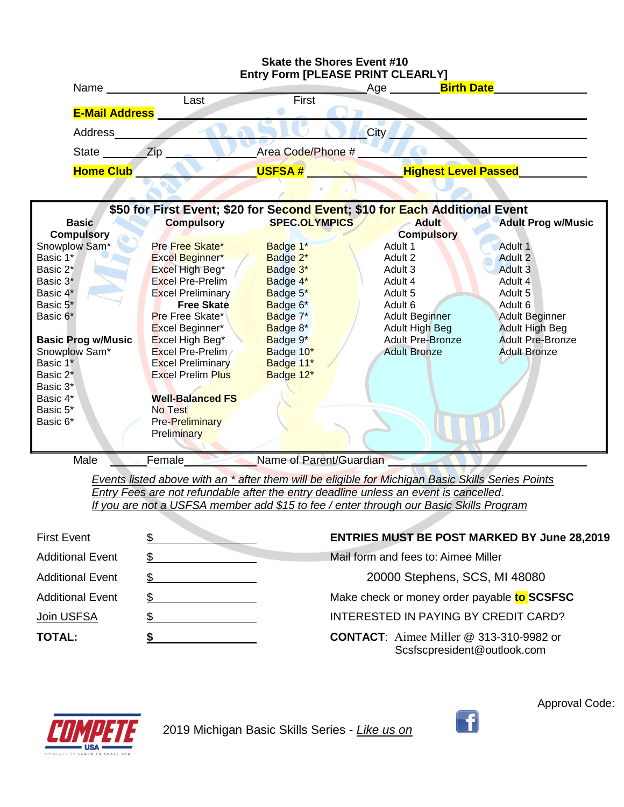

*Events listed above with an \* after them will be eligible for Michigan Basic Skills Series Points Entry Fees are not refundable after the entry deadline unless an event is cancelled*. *If you are not a USFSA member add \$15 to fee / enter through our Basic Skills Program*

| <b>First Event</b>      | <b>ENTRIES MUST BE POST MARKED BY June 28,2019</b>                            |
|-------------------------|-------------------------------------------------------------------------------|
| <b>Additional Event</b> | Mail form and fees to: Aimee Miller                                           |
| <b>Additional Event</b> | 20000 Stephens, SCS, MI 48080                                                 |
| <b>Additional Event</b> | Make check or money order payable to SCSFSC                                   |
| Join USFSA              | INTERESTED IN PAYING BY CREDIT CARD?                                          |
| <b>TOTAL:</b>           | <b>CONTACT:</b> Aimee Miller @ 313-310-9982 or<br>Scsfscpresident@outlook.com |

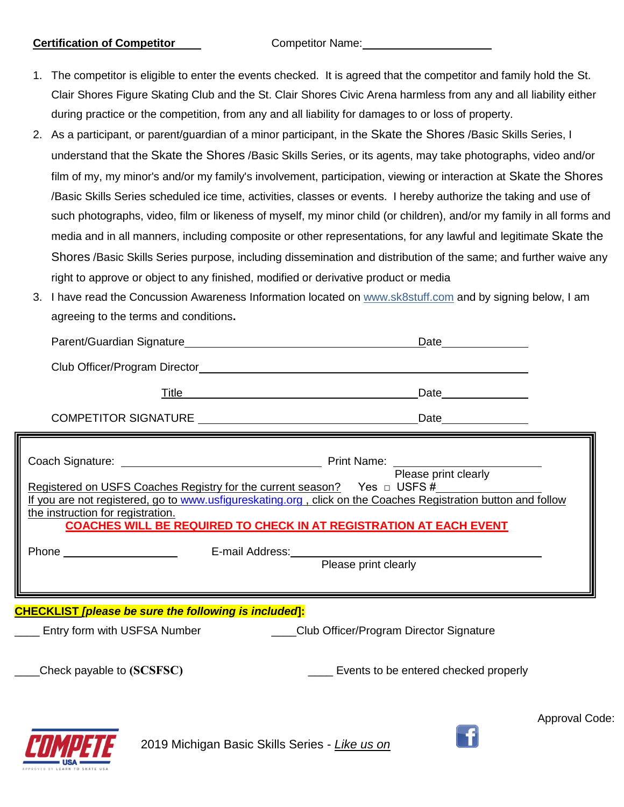#### **Certification of Competitor** Competitor Name:

- 1. The competitor is eligible to enter the events checked. It is agreed that the competitor and family hold the St. Clair Shores Figure Skating Club and the St. Clair Shores Civic Arena harmless from any and all liability either during practice or the competition, from any and all liability for damages to or loss of property.
- 2. As a participant, or parent/guardian of a minor participant, in the Skate the Shores /Basic Skills Series, I understand that the Skate the Shores /Basic Skills Series, or its agents, may take photographs, video and/or film of my, my minor's and/or my family's involvement, participation, viewing or interaction at Skate the Shores /Basic Skills Series scheduled ice time, activities, classes or events. I hereby authorize the taking and use of such photographs, video, film or likeness of myself, my minor child (or children), and/or my family in all forms and media and in all manners, including composite or other representations, for any lawful and legitimate Skate the Shores /Basic Skills Series purpose, including dissemination and distribution of the same; and further waive any right to approve or object to any finished, modified or derivative product or media
- 3. I have read the Concussion Awareness Information located on [www.sk8stuff.com](http://www.sk8stuff.com/) and by signing below, I am agreeing to the terms and conditions**.**

| <u>Title</u> <b>Example 2014</b><br>Date _______________<br>Registered on USFS Coaches Registry for the current season? Yes $\Box$ USFS #<br>the instruction for registration.<br><b>COACHES WILL BE REQUIRED TO CHECK IN AT REGISTRATION AT EACH EVENT</b><br>Entry form with USFSA Number ______________Club Officer/Program Director Signature | If you are not registered, go to www.usfigureskating.org, click on the Coaches Registration button and follow | Date _______________ |  |
|---------------------------------------------------------------------------------------------------------------------------------------------------------------------------------------------------------------------------------------------------------------------------------------------------------------------------------------------------|---------------------------------------------------------------------------------------------------------------|----------------------|--|
| <b>CHECKLIST [please be sure the following is included]:</b>                                                                                                                                                                                                                                                                                      |                                                                                                               |                      |  |
|                                                                                                                                                                                                                                                                                                                                                   |                                                                                                               |                      |  |
|                                                                                                                                                                                                                                                                                                                                                   |                                                                                                               |                      |  |
|                                                                                                                                                                                                                                                                                                                                                   |                                                                                                               |                      |  |
|                                                                                                                                                                                                                                                                                                                                                   |                                                                                                               |                      |  |
|                                                                                                                                                                                                                                                                                                                                                   |                                                                                                               |                      |  |
|                                                                                                                                                                                                                                                                                                                                                   |                                                                                                               |                      |  |
|                                                                                                                                                                                                                                                                                                                                                   |                                                                                                               |                      |  |
| Check payable to (SCSFSC)<br>Events to be entered checked properly                                                                                                                                                                                                                                                                                |                                                                                                               |                      |  |



2019 Michigan Basic Skills Series - *Like us on*